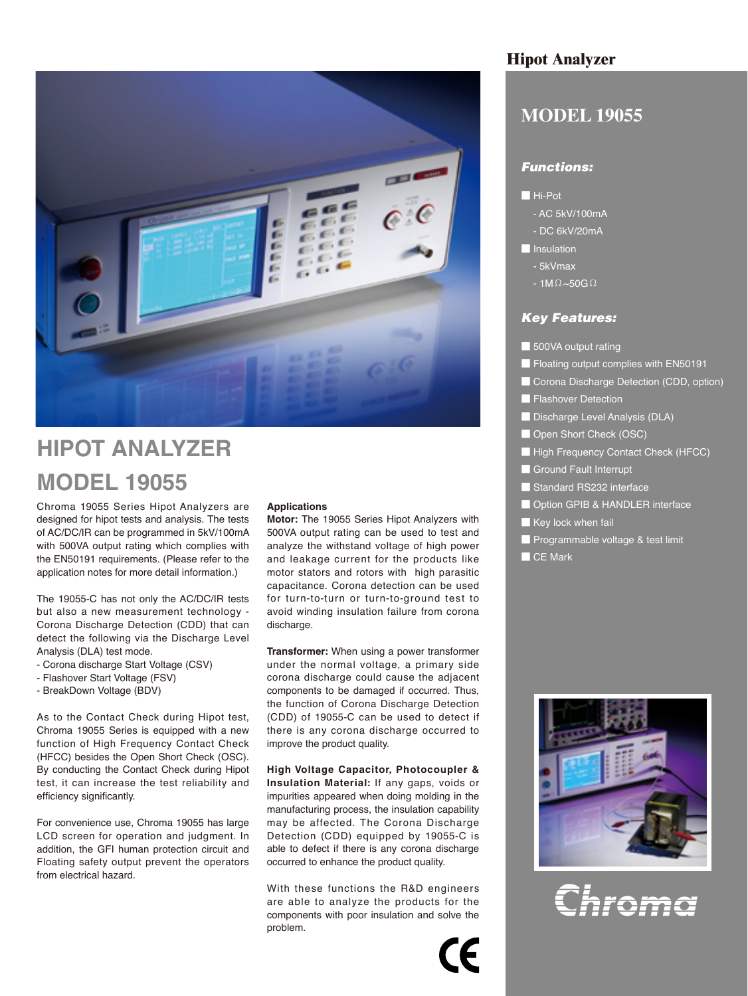

## **HIPOT ANALYZER MODEL 19055**

Chroma 19055 Series Hipot Analyzers are designed for hipot tests and analysis. The tests of AC/DC/IR can be programmed in 5kV/100mA with 500VA output rating which complies with the EN50191 requirements. (Please refer to the application notes for more detail information.)

The 19055-C has not only the AC/DC/IR tests but also a new measurement technology - Corona Discharge Detection (CDD) that can detect the following via the Discharge Level Analysis (DLA) test mode.

- Corona discharge Start Voltage (CSV)
- Flashover Start Voltage (FSV)
- BreakDown Voltage (BDV)

As to the Contact Check during Hipot test, Chroma 19055 Series is equipped with a new function of High Frequency Contact Check (HFCC) besides the Open Short Check (OSC). By conducting the Contact Check during Hipot test, it can increase the test reliability and efficiency significantly.

For convenience use, Chroma 19055 has large LCD screen for operation and judgment. In addition, the GFI human protection circuit and Floating safety output prevent the operators from electrical hazard.

#### **Applications**

**Motor:** The 19055 Series Hipot Analyzers with 500VA output rating can be used to test and analyze the withstand voltage of high power and leakage current for the products like motor stators and rotors with high parasitic capacitance. Corona detection can be used for turn-to-turn or turn-to-ground test to avoid winding insulation failure from corona discharge.

**Transformer:** When using a power transformer under the normal voltage, a primary side corona discharge could cause the adjacent components to be damaged if occurred. Thus, the function of Corona Discharge Detection (CDD) of 19055-C can be used to detect if there is any corona discharge occurred to improve the product quality.

**High Voltage Capacitor, Photocoupler & Insulation Material:** If any gaps, voids or impurities appeared when doing molding in the manufacturing process, the insulation capability may be affected. The Corona Discharge Detection (CDD) equipped by 19055-C is able to defect if there is any corona discharge occurred to enhance the product quality.

With these functions the R&D engineers are able to analyze the products for the components with poor insulation and solve the problem.

#### **Hipot Analyzer**

### **MODEL 19055**

#### *Functions:*

#### ■ Hi-Pot

- AC 5kV/100mA
- DC 6kV/20mA
- **La** Insulation
	- 5kVmax
	- $-1M\Omega \sim 50G\Omega$

#### *Key Features:*

- 500VA output rating
- Floating output complies with EN50191
- Corona Discharge Detection (CDD, option)
- Flashover Detection
- Discharge Level Analysis (DLA)
- Open Short Check (OSC)
- High Frequency Contact Check (HFCC)
- Ground Fault Interrupt
- Standard RS232 interface
- Option GPIB & HANDLER interface
- Key lock when fail
- Programmable voltage & test limit
- CE Mark



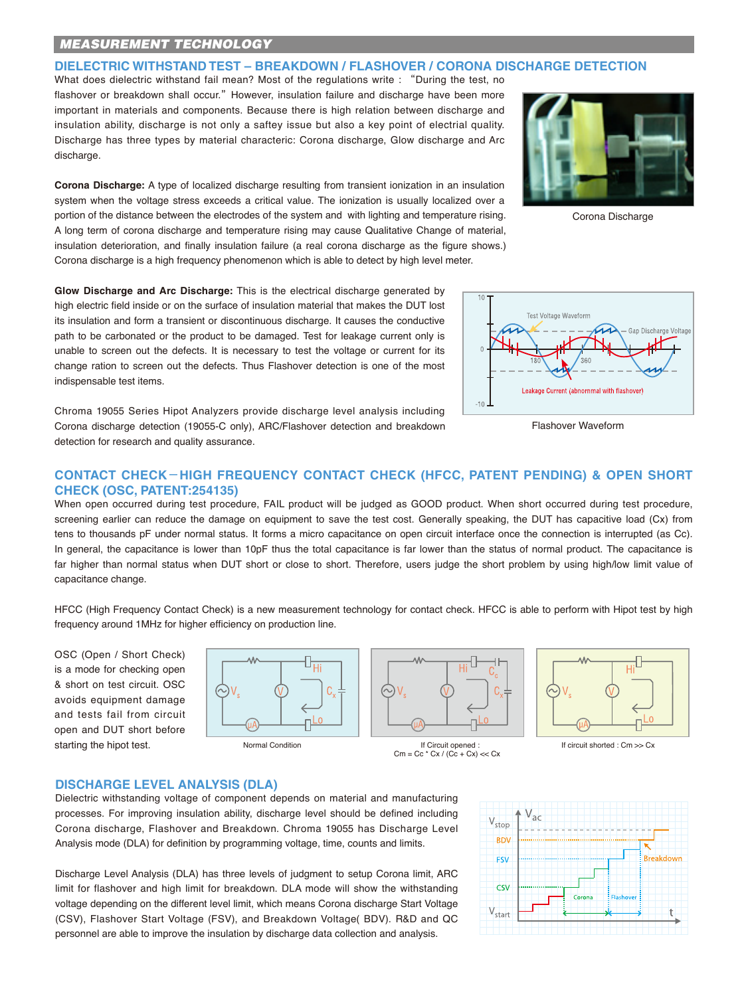#### *MEASUREMENT TECHNOLOGY*

**DIELECTRIC WITHSTAND TEST – BREAKDOWN / FLASHOVER / CORONA DISCHARGE DETECTION**

What does dielectric withstand fail mean? Most of the regulations write : "During the test, no flashover or breakdown shall occur." However, insulation failure and discharge have been more important in materials and components. Because there is high relation between discharge and insulation ability, discharge is not only a saftey issue but also a key point of electrial quality. Discharge has three types by material characteric: Corona discharge, Glow discharge and Arc discharge.

**Corona Discharge:** A type of localized discharge resulting from transient ionization in an insulation system when the voltage stress exceeds a critical value. The ionization is usually localized over a portion of the distance between the electrodes of the system and with lighting and temperature rising. A long term of corona discharge and temperature rising may cause Qualitative Change of material, insulation deterioration, and finally insulation failure (a real corona discharge as the figure shows.) Corona discharge is a high frequency phenomenon which is able to detect by high level meter.

**Glow Discharge and Arc Discharge:** This is the electrical discharge generated by high electric field inside or on the surface of insulation material that makes the DUT lost its insulation and form a transient or discontinuous discharge. It causes the conductive path to be carbonated or the product to be damaged. Test for leakage current only is unable to screen out the defects. It is necessary to test the voltage or current for its change ration to screen out the defects. Thus Flashover detection is one of the most indispensable test items.

Chroma 19055 Series Hipot Analyzers provide discharge level analysis including Corona discharge detection (19055-C only), ARC/Flashover detection and breakdown detection for research and quality assurance.



Corona Discharge



Flashover Waveform

#### **CONTACT CHECK-HIGH FREQUENCY CONTACT CHECK (HFCC, PATENT PENDING) & OPEN SHORT CHECK (OSC, PATENT:254135)**

When open occurred during test procedure, FAIL product will be judged as GOOD product. When short occurred during test procedure, screening earlier can reduce the damage on equipment to save the test cost. Generally speaking, the DUT has capacitive load (Cx) from tens to thousands pF under normal status. It forms a micro capacitance on open circuit interface once the connection is interrupted (as Cc). In general, the capacitance is lower than 10pF thus the total capacitance is far lower than the status of normal product. The capacitance is far higher than normal status when DUT short or close to short. Therefore, users judge the short problem by using high/low limit value of capacitance change.

HFCC (High Frequency Contact Check) is a new measurement technology for contact check. HFCC is able to perform with Hipot test by high frequency around 1MHz for higher efficiency on production line.

OSC (Open / Short Check) is a mode for checking open & short on test circuit. OSC avoids equipment damage and tests fail from circuit open and DUT short before starting the hipot test.





 Normal Condition If Circuit opened : If circuit shorted : Cm >> Cx  $\text{Cm} = \text{Cc} * \text{Cx} / (\text{Cc} + \text{Cx}) \ll \text{Cx}$ 



#### **DISCHARGE LEVEL ANALYSIS (DLA)**

Dielectric withstanding voltage of component depends on material and manufacturing processes. For improving insulation ability, discharge level should be defined including Corona discharge, Flashover and Breakdown. Chroma 19055 has Discharge Level Analysis mode (DLA) for definition by programming voltage, time, counts and limits.

Discharge Level Analysis (DLA) has three levels of judgment to setup Corona limit, ARC limit for flashover and high limit for breakdown. DLA mode will show the withstanding voltage depending on the different level limit, which means Corona discharge Start Voltage (CSV), Flashover Start Voltage (FSV), and Breakdown Voltage( BDV). R&D and QC personnel are able to improve the insulation by discharge data collection and analysis.

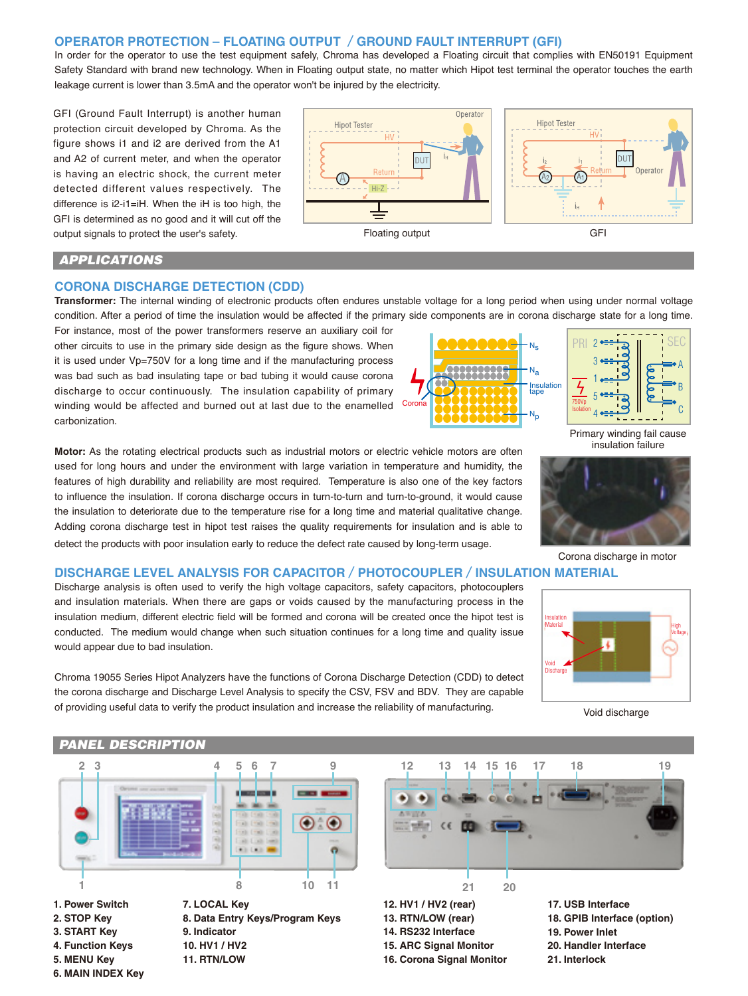#### **OPERATOR PROTECTION – FLOATING OUTPUT /GROUND FAULT INTERRUPT (GFI)**

In order for the operator to use the test equipment safely, Chroma has developed a Floating circuit that complies with EN50191 Equipment Safety Standard with brand new technology. When in Floating output state, no matter which Hipot test terminal the operator touches the earth leakage current is lower than 3.5mA and the operator won't be injured by the electricity.

GFI (Ground Fault Interrupt) is another human protection circuit developed by Chroma. As the figure shows i1 and i2 are derived from the A1 and A2 of current meter, and when the operator is having an electric shock, the current meter detected different values respectively. The difference is i2-i1=iH. When the iH is too high, the GFI is determined as no good and it will cut off the output signals to protect the user's safety.



#### *APPLICATIONS*

#### **CORONA DISCHARGE DETECTION (CDD)**

**Transformer:** The internal winding of electronic products often endures unstable voltage for a long period when using under normal voltage condition. After a period of time the insulation would be affected if the primary side components are in corona discharge state for a long time.

Coron

For instance, most of the power transformers reserve an auxiliary coil for other circuits to use in the primary side design as the figure shows. When it is used under Vp=750V for a long time and if the manufacturing process was bad such as bad insulating tape or bad tubing it would cause corona discharge to occur continuously. The insulation capability of primary winding would be affected and burned out at last due to the enamelled carbonization.

**Motor:** As the rotating electrical products such as industrial motors or electric vehicle motors are often used for long hours and under the environment with large variation in temperature and humidity, the features of high durability and reliability are most required. Temperature is also one of the key factors to influence the insulation. If corona discharge occurs in turn-to-turn and turn-to-ground, it would cause the insulation to deteriorate due to the temperature rise for a long time and material qualitative change. Adding corona discharge test in hipot test raises the quality requirements for insulation and is able to detect the products with poor insulation early to reduce the defect rate caused by long-term usage.



Primary winding fail cause insulation failure

A B  $\mathbf{C}$ 



Corona discharge in motor

#### **DISCHARGE LEVEL ANALYSIS FOR CAPACITOR/PHOTOCOUPLER/INSULATION MATERIAL**

Discharge analysis is often used to verify the high voltage capacitors, safety capacitors, photocouplers and insulation materials. When there are gaps or voids caused by the manufacturing process in the insulation medium, different electric field will be formed and corona will be created once the hipot test is conducted. The medium would change when such situation continues for a long time and quality issue would appear due to bad insulation.

Chroma 19055 Series Hipot Analyzers have the functions of Corona Discharge Detection (CDD) to detect the corona discharge and Discharge Level Analysis to specify the CSV, FSV and BDV. They are capable of providing useful data to verify the product insulation and increase the reliability of manufacturing.



Void discharge

# **2 3 4 5 6 7 9** O O

**1 8 10 11**

**1. Power Switch 2. STOP Key 3. START Key 4. Function Keys 5. MENU Key**

**6. MAIN INDEX Key**

 *PANEL DESCRIPTION*

**7. LOCAL Key 8. Data Entry Keys/Program Keys 9. Indicator 10. HV1 / HV2 11. RTN/LOW**



**12. HV1 / HV2 (rear) 13. RTN/LOW (rear) 14. RS232 Interface 15. ARC Signal Monitor 16. Corona Signal Monitor**

**17. USB Interface 18. GPIB Interface (option) 19. Power Inlet 20. Handler Interface 21. Interlock**